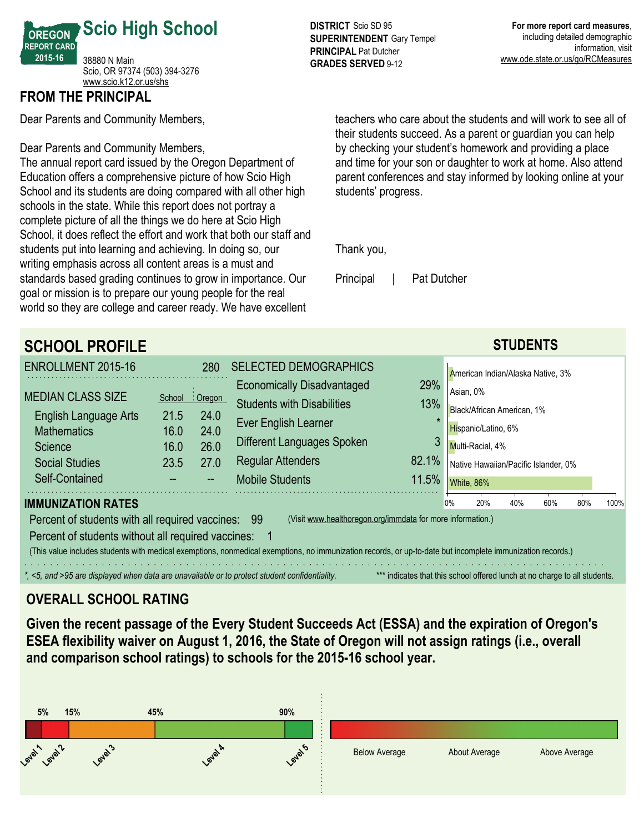

## **FROM THE PRINCIPAL**

Dear Parents and Community Members,

Dear Parents and Community Members,

The annual report card issued by the Oregon Department of Education offers a comprehensive picture of how Scio High School and its students are doing compared with all other high schools in the state. While this report does not portray a complete picture of all the things we do here at Scio High School, it does reflect the effort and work that both our staff and students put into learning and achieving. In doing so, our writing emphasis across all content areas is a must and standards based grading continues to grow in importance. Our goal or mission is to prepare our young people for the real world so they are college and career ready. We have excellent

**DISTRICT** Scio SD 95 **SUPERINTENDENT** Gary Tempel **PRINCIPAL** Pat Dutcher **GRADES SERVED 9-12** 

teachers who care about the students and will work to see all of their students succeed. As a parent or guardian you can help by checking your student's homework and providing a place and time for your son or daughter to work at home. Also attend parent conferences and stay informed by looking online at your students' progress.

Thank you,

Principal | Pat Dutcher

| <b>SCHOOL PROFILE</b>                                                                                            |        |          |                                                                                                                                                            |                                                                            |    |                                      | <b>STUDENTS</b> |     |     |      |
|------------------------------------------------------------------------------------------------------------------|--------|----------|------------------------------------------------------------------------------------------------------------------------------------------------------------|----------------------------------------------------------------------------|----|--------------------------------------|-----------------|-----|-----|------|
| ENROLLMENT 2015-16                                                                                               |        | 280      | <b>SELECTED DEMOGRAPHICS</b>                                                                                                                               |                                                                            |    | American Indian/Alaska Native, 3%    |                 |     |     |      |
| <b>MEDIAN CLASS SIZE</b>                                                                                         | School | : Oregon | <b>Economically Disadvantaged</b>                                                                                                                          | 29%                                                                        |    | Asian, 0%                            |                 |     |     |      |
| English Language Arts                                                                                            | 21.5   | 24.0     | <b>Students with Disabilities</b>                                                                                                                          | 13%                                                                        |    | Black/African American, 1%           |                 |     |     |      |
| <b>Mathematics</b>                                                                                               | 16.0   | 24.0     | Ever English Learner                                                                                                                                       |                                                                            |    | Hispanic/Latino, 6%                  |                 |     |     |      |
| Science                                                                                                          | 16.0   | 26.0     | Different Languages Spoken                                                                                                                                 | 3                                                                          |    | Multi-Racial, 4%                     |                 |     |     |      |
| <b>Social Studies</b>                                                                                            | 23.5   | 27.0     | <b>Regular Attenders</b>                                                                                                                                   | 82.1%                                                                      |    | Native Hawaiian/Pacific Islander, 0% |                 |     |     |      |
| Self-Contained                                                                                                   |        |          | <b>Mobile Students</b>                                                                                                                                     | 11.5%                                                                      |    | White, 86%                           |                 |     |     |      |
| <b>IMMUNIZATION RATES</b>                                                                                        |        |          |                                                                                                                                                            |                                                                            | 0% | 20%                                  | 40%             | 60% | 80% | 100% |
| (Visit www.healthoregon.org/immdata for more information.)<br>Percent of students with all required vaccines: 99 |        |          |                                                                                                                                                            |                                                                            |    |                                      |                 |     |     |      |
| Percent of students without all required vaccines:                                                               |        |          |                                                                                                                                                            |                                                                            |    |                                      |                 |     |     |      |
|                                                                                                                  |        |          | (This value includes students with medical exemptions, nonmedical exemptions, no immunization records, or up-to-date but incomplete immunization records.) |                                                                            |    |                                      |                 |     |     |      |
| *, <5, and >95 are displayed when data are unavailable or to protect student confidentiality.                    |        |          |                                                                                                                                                            | *** indicates that this school offered lunch at no charge to all students. |    |                                      |                 |     |     |      |

# **OVERALL SCHOOL RATING**

**Given the recent passage of the Every Student Succeeds Act (ESSA) and the expiration of Oregon's ESEA flexibility waiver on August 1, 2016, the State of Oregon will not assign ratings (i.e., overall and comparison school ratings) to schools for the 201516 school year.**

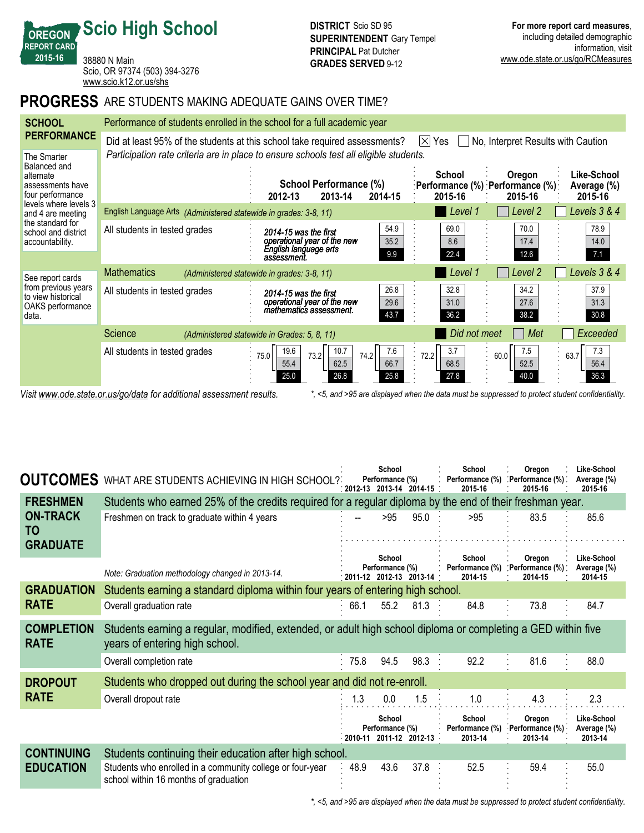38880 N Main Scio, OR 97374 (503) 394-3276 <www.scio.k12.or.us/shs>

**Scio High School**

**OREGON REPORT CARD 201516**

### **PROGRESS** ARE STUDENTS MAKING ADEQUATE GAINS OVER TIME?

| <b>SCHOOL</b>                                                                                            | Performance of students enrolled in the school for a full academic year |                                                                                                                                                          |                                                    |                                                         |                                       |  |  |  |  |  |  |
|----------------------------------------------------------------------------------------------------------|-------------------------------------------------------------------------|----------------------------------------------------------------------------------------------------------------------------------------------------------|----------------------------------------------------|---------------------------------------------------------|---------------------------------------|--|--|--|--|--|--|
| <b>PERFORMANCE</b>                                                                                       |                                                                         | Did at least 95% of the students at this school take required assessments?                                                                               | $\mathsf{ \times }$<br>Yes                         | No, Interpret Results with Caution                      |                                       |  |  |  |  |  |  |
| The Smarter<br>Balanced and<br>alternate<br>assessments have<br>four performance                         |                                                                         | Participation rate criteria are in place to ensure schools test all eligible students.<br><b>School Performance (%)</b><br>2013-14<br>2014-15<br>2012-13 | School<br>2015-16                                  | Oregon<br>:Performance (%) :Performance (%):<br>2015-16 | Like-School<br>Average (%)<br>2015-16 |  |  |  |  |  |  |
| levels where levels 3<br>and 4 are meeting<br>the standard for<br>school and district<br>accountability. | English Language Arts (Administered statewide in grades: 3-8, 11)       |                                                                                                                                                          | Level 1                                            | Level 2                                                 | Levels 3 & 4                          |  |  |  |  |  |  |
|                                                                                                          | All students in tested grades                                           | 2014-15 was the first<br>operational year of the new<br>English language arts<br>assessment.                                                             | 54.9<br>69.0<br>35.2<br>8.6<br>22.4<br>9.9         | 70.0<br>17.4<br>12.6                                    | 78.9<br>14.0<br>7.1                   |  |  |  |  |  |  |
| See report cards                                                                                         | <b>Mathematics</b>                                                      | (Administered statewide in grades: 3-8, 11)                                                                                                              | Level 1                                            | Level 2                                                 | Levels 3 & 4                          |  |  |  |  |  |  |
| from previous years<br>to view historical<br>OAKS performance<br>data.                                   | All students in tested grades                                           | 2014-15 was the first<br>operational year of the new<br>mathematics assessment.                                                                          | 26.8<br>32.8<br>29.6<br>31.0<br>43.7<br>36.2       | 34.2<br>27.6<br>38.2                                    | 37.9<br>31.3<br>30.8                  |  |  |  |  |  |  |
|                                                                                                          | Science                                                                 | (Administered statewide in Grades: 5, 8, 11)                                                                                                             | Did not meet                                       | Met                                                     | Exceeded                              |  |  |  |  |  |  |
|                                                                                                          | All students in tested grades                                           | 19.6<br>10.7<br>74.2<br>75.0<br>73.2<br>62.5<br>55.4<br>26.8<br>25.0                                                                                     | 7.6<br>3.7<br>72.2<br>66.7<br>68.5<br>25.8<br>27.8 | 7.5<br>60.0<br>52.5<br>40.0                             | 7.3<br>63.7<br>56.4<br>36.3           |  |  |  |  |  |  |

*Visit www.ode.state.or.us/go/data for additional assessment results. \*, <5, and >95 are displayed when the data must be suppressed to protect student confidentiality.*

| <b>OUTCOMES</b>                          | WHAT ARE STUDENTS ACHIEVING IN HIGH SCHOOL?                                                                                                    |                                                                                                          | School<br>Performance (%)                            | 2012-13 2013-14 2014-15                 | School<br>Performance (%)<br>2015-16 | Oregon<br>Performance (%)<br>2015-16 | Like-School<br>Average (%)<br>2015-16 |  |  |  |
|------------------------------------------|------------------------------------------------------------------------------------------------------------------------------------------------|----------------------------------------------------------------------------------------------------------|------------------------------------------------------|-----------------------------------------|--------------------------------------|--------------------------------------|---------------------------------------|--|--|--|
| <b>FRESHMEN</b>                          |                                                                                                                                                | Students who earned 25% of the credits required for a regular diploma by the end of their freshman year. |                                                      |                                         |                                      |                                      |                                       |  |  |  |
| <b>ON-TRACK</b><br>TO<br><b>GRADUATE</b> | Freshmen on track to graduate within 4 years                                                                                                   |                                                                                                          | >95                                                  | 95.0                                    | >95                                  | 83.5                                 | 85.6                                  |  |  |  |
|                                          | Note: Graduation methodology changed in 2013-14.                                                                                               |                                                                                                          | School<br>Performance (%)                            | $\cdot$ 2011-12 2012-13 2013-14 $\cdot$ | School<br>Performance (%)<br>2014-15 | Oregon<br>Performance (%)<br>2014-15 | Like-School<br>Average (%)<br>2014-15 |  |  |  |
| <b>GRADUATION</b>                        | Students earning a standard diploma within four years of entering high school.                                                                 |                                                                                                          |                                                      |                                         |                                      |                                      |                                       |  |  |  |
| <b>RATE</b>                              | Overall graduation rate                                                                                                                        | 66.1                                                                                                     | 55.2                                                 | 81.3                                    | 84.8                                 | 73.8                                 | 84.7                                  |  |  |  |
| <b>COMPLETION</b><br><b>RATE</b>         | Students earning a regular, modified, extended, or adult high school diploma or completing a GED within five<br>years of entering high school. |                                                                                                          |                                                      |                                         |                                      |                                      |                                       |  |  |  |
|                                          | Overall completion rate                                                                                                                        | 75.8                                                                                                     | 94.5                                                 | 98.3 :                                  | 92.2                                 | 81.6                                 | 88.0                                  |  |  |  |
| <b>DROPOUT</b>                           | Students who dropped out during the school year and did not re-enroll.                                                                         |                                                                                                          |                                                      |                                         |                                      |                                      |                                       |  |  |  |
| <b>RATE</b>                              | Overall dropout rate                                                                                                                           | 1.3                                                                                                      | 0.0                                                  | 1.5                                     | 1.0                                  | 4.3                                  | 2.3                                   |  |  |  |
|                                          |                                                                                                                                                |                                                                                                          | School<br>Performance (%)<br>2010 11 2011 12 2012 13 |                                         | School<br>Performance (%)<br>2013-14 | Oregon<br>Performance (%)<br>2013-14 | Like-School<br>Average (%)<br>2013-14 |  |  |  |
| <b>CONTINUING</b>                        | Students continuing their education after high school.                                                                                         |                                                                                                          |                                                      |                                         |                                      |                                      |                                       |  |  |  |
| <b>EDUCATION</b>                         | Students who enrolled in a community college or four-year<br>school within 16 months of graduation                                             | 48.9                                                                                                     | 43.6                                                 | 37.8                                    | 52.5                                 | 59.4                                 | 55.0                                  |  |  |  |

*\*, <5, and >95 are displayed when the data must be suppressed to protect student confidentiality.*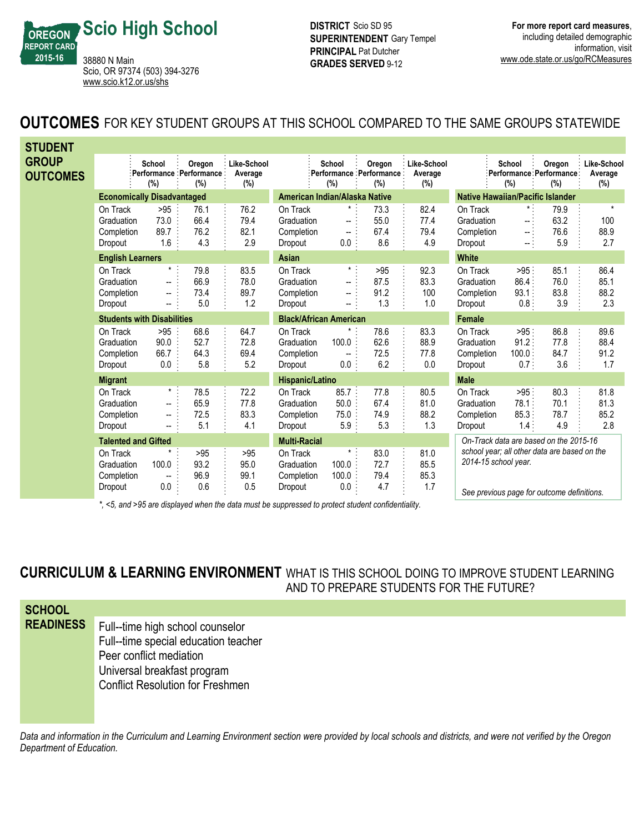

**DISTRICT** Scio SD 95 **SUPERINTENDENT** Gary Tempel **PRINCIPAL** Pat Dutcher **GRADES SERVED 9-12** 

# **OUTCOMES** FOR KEY STUDENT GROUPS AT THIS SCHOOL COMPARED TO THE SAME GROUPS STATEWIDE

| <b>STUDENT</b>                  |                                                 |                                                                                               |                                           |                               |                                                 |                                                     |                                          |                                         |                                                 |                                                        |                                              |                               |
|---------------------------------|-------------------------------------------------|-----------------------------------------------------------------------------------------------|-------------------------------------------|-------------------------------|-------------------------------------------------|-----------------------------------------------------|------------------------------------------|-----------------------------------------|-------------------------------------------------|--------------------------------------------------------|----------------------------------------------|-------------------------------|
| <b>GROUP</b><br><b>OUTCOMES</b> |                                                 | School<br>(%)                                                                                 | Oregon<br>Performance Performance:<br>(%) | Like-School<br>Average<br>(%) |                                                 | School<br>(%)                                       | Oregon<br>Performance Performance<br>(%) | Like-School<br>Average<br>(%)           |                                                 | School<br>(%)                                          | Oregon<br>Performance Performance:<br>(%)    | Like-School<br>Average<br>(%) |
|                                 | <b>Economically Disadvantaged</b>               |                                                                                               |                                           | American Indian/Alaska Native |                                                 |                                                     |                                          | <b>Native Hawaiian/Pacific Islander</b> |                                                 |                                                        |                                              |                               |
|                                 | On Track<br>Graduation<br>Completion<br>Dropout | >95<br>73.0<br>89.7<br>1.6                                                                    | 76.1<br>66.4<br>76.2<br>4.3               | 76.2<br>79.4<br>82.1<br>2.9   | On Track<br>Graduation<br>Completion<br>Dropout | $\star$ .<br>--<br>$\overline{\phantom{a}}$<br>0.0: | 73.3<br>55.0<br>67.4<br>8.6              | 82.4<br>77.4<br>79.4<br>4.9             | On Track<br>Graduation<br>Completion<br>Dropout | $\star$ .<br>$\sim$ $^{\circ}$<br>$\sim$ 1<br>$\sim 1$ | 79.9<br>63.2<br>76.6<br>5.9                  | $\star$<br>100<br>88.9<br>2.7 |
|                                 | <b>English Learners</b>                         |                                                                                               |                                           |                               | Asian                                           |                                                     |                                          |                                         | <b>White</b>                                    |                                                        |                                              |                               |
|                                 | On Track<br>Graduation<br>Completion<br>Dropout | $\star$ :<br>$\overline{\phantom{a}}$<br>$\overline{\phantom{a}}$<br>--                       | 79.8<br>66.9<br>73.4<br>5.0               | 83.5<br>78.0<br>89.7<br>1.2   | On Track<br>Graduation<br>Completion<br>Dropout | $\pmb{\star}$ .<br>--<br>--<br>--                   | >95<br>87.5<br>91.2<br>1.3               | 92.3<br>83.3<br>100<br>1.0              | On Track<br>Graduation<br>Completion<br>Dropout | >95<br>86.4:<br>93.1:<br>0.8 <sup>1</sup>              | 85.1<br>76.0<br>83.8<br>3.9                  | 86.4<br>85.1<br>88.2<br>2.3   |
|                                 |                                                 | <b>Students with Disabilities</b>                                                             |                                           |                               | <b>Black/African American</b>                   |                                                     |                                          |                                         | Female                                          |                                                        |                                              |                               |
|                                 | On Track<br>Graduation<br>Completion<br>Dropout | >95<br>90.0<br>66.7<br>0.0                                                                    | 68.6<br>52.7<br>64.3<br>5.8               | 64.7<br>72.8<br>69.4<br>5.2   | On Track<br>Graduation<br>Completion<br>Dropout | 100.0<br>$\overline{\phantom{a}}$<br>$0.0$ :        | 78.6<br>62.6<br>72.5<br>6.2              | 83.3<br>88.9<br>77.8<br>0.0             | On Track<br>Graduation<br>Completion<br>Dropout | $>95$ :<br>91.2:<br>100.0:<br>0.7:                     | 86.8<br>77.8<br>84.7<br>3.6                  | 89.6<br>88.4<br>91.2<br>1.7   |
|                                 | <b>Migrant</b>                                  |                                                                                               |                                           |                               | Hispanic/Latino                                 |                                                     |                                          |                                         | <b>Male</b>                                     |                                                        |                                              |                               |
|                                 | On Track<br>Graduation<br>Completion<br>Dropout | $\star$ :<br>$\overline{\phantom{a}}$<br>$\overline{\phantom{a}}$<br>$\overline{\phantom{a}}$ | 78.5<br>65.9<br>72.5<br>5.1               | 72.2<br>77.8<br>83.3<br>4.1   | On Track<br>Graduation<br>Completion<br>Dropout | 85.7<br>50.0<br>75.0<br>5.9:                        | 77.8<br>67.4<br>74.9<br>5.3              | 80.5<br>81.0<br>88.2<br>1.3             | On Track<br>Graduation<br>Completion<br>Dropout | $>95$ :<br>78.1:<br>85.3:<br>1.4:                      | 80.3<br>70.1<br>78.7<br>4.9                  | 81.8<br>81.3<br>85.2<br>2.8   |
|                                 | <b>Talented and Gifted</b>                      |                                                                                               |                                           |                               | <b>Multi-Racial</b>                             |                                                     |                                          |                                         |                                                 |                                                        | On-Track data are based on the 2015-16       |                               |
|                                 | On Track<br>Graduation<br>Completion            | 100.0<br>$\overline{\phantom{a}}$                                                             | >95<br>93.2<br>96.9<br>0.6                | >95<br>95.0<br>99.1<br>0.5    | On Track<br>Graduation<br>Completion            | $\star$ .<br>100.0<br>100.0<br>0.0                  | 83.0<br>72.7<br>79.4<br>4.7              | 81.0<br>85.5<br>85.3<br>1.7             | 2014-15 school year.                            |                                                        | school year; all other data are based on the |                               |
|                                 | Dropout                                         | 0.0                                                                                           |                                           |                               | Dropout                                         |                                                     |                                          |                                         |                                                 |                                                        | Can province nogo for outcome definitions.   |                               |

*\*, <5, and >95 are displayed when the data must be suppressed to protect student confidentiality.*

*See previous page for outcome definitions.*

**CURRICULUM & LEARNING ENVIRONMENT** WHAT IS THIS SCHOOL DOING TO IMPROVE STUDENT LEARNING AND TO PREPARE STUDENTS FOR THE FUTURE?

| <b>SCHOOL</b>    |                                         |
|------------------|-----------------------------------------|
| <b>READINESS</b> | Full--time high school counselor        |
|                  | Full--time special education teacher    |
|                  | Peer conflict mediation                 |
|                  | Universal breakfast program             |
|                  | <b>Conflict Resolution for Freshmen</b> |
|                  |                                         |

*Data and information in the Curriculum and Learning Environment section were provided by local schools and districts, and were not verified by the Oregon Department of Education.*